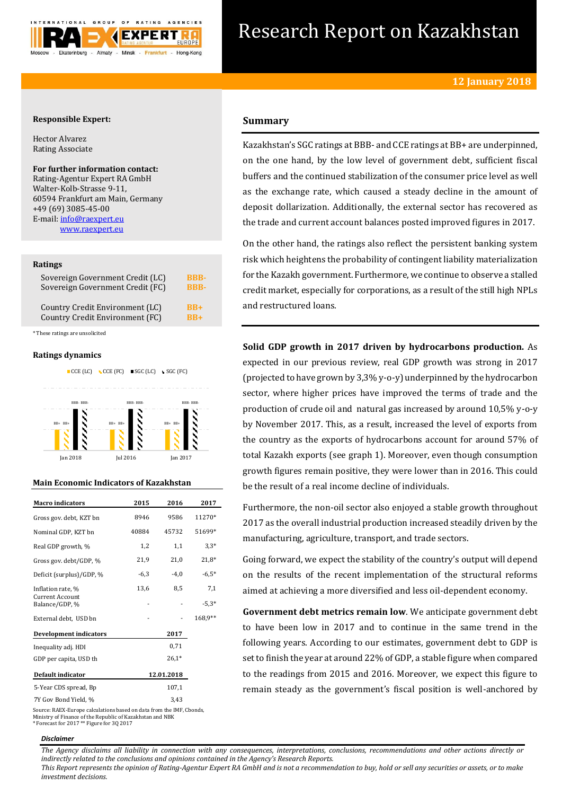

# Research Report on Kazakhstan

## **Responsible Expert:**

Hector Alvarez Rating Associate

## **For further information contact:** Rating-Agentur Expert RA GmbH

Walter-Kolb-Strasse 9-11, 60594 Frankfurt am Main, Germany +49 (69) 3085-45-00 E-mail[: info@raexpert.eu](mailto:info@raexpert.eu) [www.raexpert.eu](http://raexpert.eu/)

## **Ratings**

| Sovereign Government Credit (LC) | <b>BBB-</b> |
|----------------------------------|-------------|
| Sovereign Government Credit (FC) | <b>RRR-</b> |
| Country Credit Environment (LC)  | $RB+$       |
| Country Credit Environment (FC)  | $RB+$       |

\* These ratings are unsolicited

## **Ratings dynamics**



## **Main Economic Indicators of Kazakhstan**

| <b>Macro</b> indicators           | 2015   | 2016       | 2017    |
|-----------------------------------|--------|------------|---------|
|                                   |        |            |         |
| Gross gov. debt, KZT bn           | 8946   | 9586       | 11270*  |
| Nominal GDP, KZT bn               | 40884  | 45732      | 51699*  |
| Real GDP growth, %                | 1,2    | 1,1        | $3,3*$  |
| Gross gov. debt/GDP, %            | 21,9   | 21,0       | $21,8*$ |
| Deficit (surplus)/GDP, %          | $-6,3$ | $-4.0$     | $-6.5*$ |
| Inflation rate, %                 | 13,6   | 8,5        | 7,1     |
| Current Account<br>Balance/GDP, % |        |            | $-5.3*$ |
| External debt, USD bn             |        |            | 168,9** |
| <b>Development indicators</b>     |        | 2017       |         |
| Inequality adj. HDI               |        | 0,71       |         |
| GDP per capita, USD th            |        | $26.1*$    |         |
| Default indicator                 |        | 12.01.2018 |         |
| 5-Year CDS spread, Bp             |        | 107,1      |         |
| 7Y Gov Bond Yield, %              |        | 3,43       |         |

Source: RAEX-Europe calculations based on data from the IMF, Cbonds, Ministry of Finance of the Republic of Kazakhstan and NBK \* Forecast for 2017 \*\* Figure for 3Q 2017

## *Disclaimer*

## **Summary**

Kazakhstan's SGC ratings at BBB- and CCE ratings at BB+ are underpinned, on the one hand, by the low level of government debt, sufficient fiscal buffers and the continued stabilization of the consumer price level as well as the exchange rate, which caused a steady decline in the amount of deposit dollarization. Additionally, the external sector has recovered as the trade and current account balances posted improved figures in 2017.

On the other hand, the ratings also reflect the persistent banking system risk which heightens the probability of contingent liability materialization for the Kazakh government. Furthermore, we continue to observe a stalled credit market, especially for corporations, as a result of the still high NPLs and restructured loans.

**Solid GDP growth in 2017 driven by hydrocarbons production.** As expected in our previous review, real GDP growth was strong in 2017 (projected to have grown by 3,3% y-o-y) underpinned by the hydrocarbon sector, where higher prices have improved the terms of trade and the production of crude oil and natural gas increased by around 10,5% y-o-y by November 2017. This, as a result, increased the level of exports from the country as the exports of hydrocarbons account for around 57% of total Kazakh exports (see graph 1). Moreover, even though consumption growth figures remain positive, they were lower than in 2016. This could be the result of a real income decline of individuals.

Furthermore, the non-oil sector also enjoyed a stable growth throughout 2017 as the overall industrial production increased steadily driven by the manufacturing, agriculture, transport, and trade sectors.

Going forward, we expect the stability of the country's output will depend on the results of the recent implementation of the structural reforms aimed at achieving a more diversified and less oil-dependent economy.

**Government debt metrics remain low**. We anticipate government debt to have been low in 2017 and to continue in the same trend in the following years. According to our estimates, government debt to GDP is set to finish the year at around 22% of GDP, a stable figure when compared to the readings from 2015 and 2016. Moreover, we expect this figure to remain steady as the government's fiscal position is well-anchored by

*The Agency disclaims all liability in connection with any consequences, interpretations, conclusions, recommendations and other actions directly or indirectly related to the conclusions and opinions contained in the Agency's Research Reports.*

*This Report represents the opinion of Rating-Agentur Expert RA GmbH and is not a recommendation to buy, hold or sell any securities or assets, or to make investment decisions.*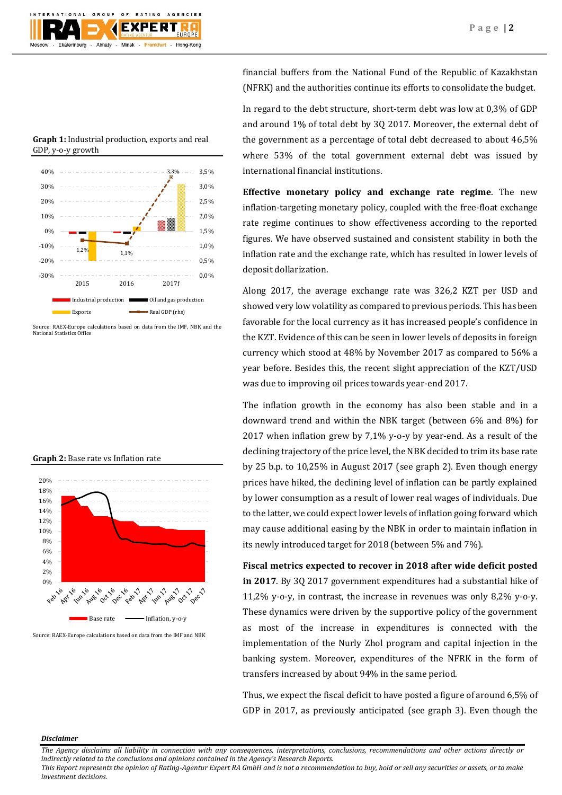

**Graph 1:** Industrial production, exports and real GDP, y-o-y growth



Source: RAEX-Europe calculations based on data from the IMF, NBK and the National Statistics Office

**Graph 2:** Base rate vs Inflation rate



Source: RAEX-Europe calculations based on data from the IMF and NBK

financial buffers from the National Fund of the Republic of Kazakhstan (NFRK) and the authorities continue its efforts to consolidate the budget.

In regard to the debt structure, short-term debt was low at 0,3% of GDP and around 1% of total debt by 3Q 2017. Moreover, the external debt of the government as a percentage of total debt decreased to about 46,5% where 53% of the total government external debt was issued by international financial institutions.

**Effective monetary policy and exchange rate regime**. The new inflation-targeting monetary policy, coupled with the free-float exchange rate regime continues to show effectiveness according to the reported figures. We have observed sustained and consistent stability in both the inflation rate and the exchange rate, which has resulted in lower levels of deposit dollarization.

Along 2017, the average exchange rate was 326,2 KZT per USD and showed very low volatility as compared to previous periods. This has been favorable for the local currency as it has increased people's confidence in the KZT. Evidence of this can be seen in lower levels of deposits in foreign currency which stood at 48% by November 2017 as compared to 56% a year before. Besides this, the recent slight appreciation of the KZT/USD was due to improving oil prices towards year-end 2017.

The inflation growth in the economy has also been stable and in a downward trend and within the NBK target (between 6% and 8%) for 2017 when inflation grew by 7,1% y-o-y by year-end. As a result of the declining trajectory of the price level, the NBK decided to trim its base rate by 25 b.p. to 10,25% in August 2017 (see graph 2). Even though energy prices have hiked, the declining level of inflation can be partly explained by lower consumption as a result of lower real wages of individuals. Due to the latter, we could expect lower levels of inflation going forward which may cause additional easing by the NBK in order to maintain inflation in its newly introduced target for 2018 (between 5% and 7%).

**Fiscal metrics expected to recover in 2018 after wide deficit posted in 2017**. By 3Q 2017 government expenditures had a substantial hike of 11,2% y-o-y, in contrast, the increase in revenues was only 8,2% y-o-y. These dynamics were driven by the supportive policy of the government as most of the increase in expenditures is connected with the implementation of the Nurly Zhol program and capital injection in the banking system. Moreover, expenditures of the NFRK in the form of transfers increased by about 94% in the same period.

Thus, we expect the fiscal deficit to have posted a figure of around 6,5% of GDP in 2017, as previously anticipated (see graph 3). Even though the

## *Disclaimer*

*The Agency disclaims all liability in connection with any consequences, interpretations, conclusions, recommendations and other actions directly or indirectly related to the conclusions and opinions contained in the Agency's Research Reports.*

*This Report represents the opinion of Rating-Agentur Expert RA GmbH and is not a recommendation to buy, hold or sell any securities or assets, or to make investment decisions.*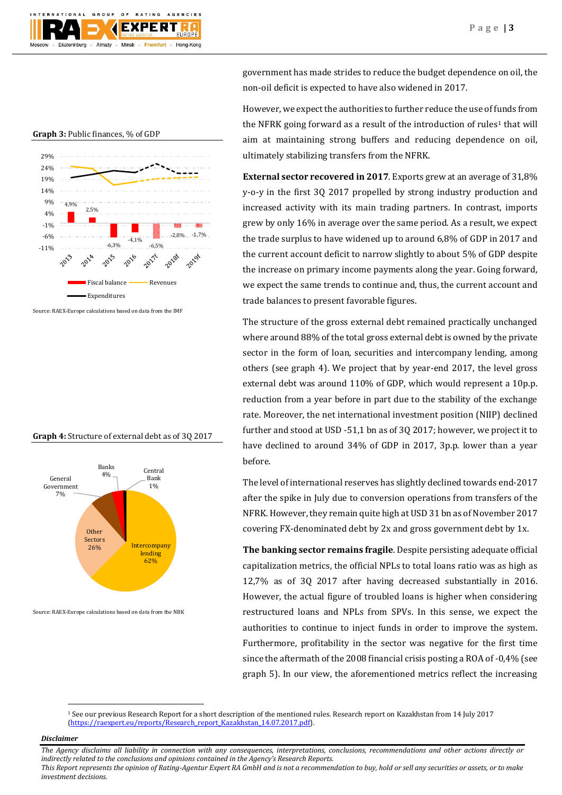

**Graph 3:** Public finances, % of GDP



Source: RAEX-Europe calculations based on data from the IMF

## **Graph 4:** Structure of external debt as of 3Q 2017



Source: RAEX-Europe calculations based on data from the NBK

government has made strides to reduce the budget dependence on oil, the non-oil deficit is expected to have also widened in 2017.

However, we expect the authorities to further reduce the use of funds from the NFRK going forward as a result of the introduction of rules<sup>1</sup> that will aim at maintaining strong buffers and reducing dependence on oil, ultimately stabilizing transfers from the NFRK.

**External sector recovered in 2017**. Exports grew at an average of 31,8% y-o-y in the first 3Q 2017 propelled by strong industry production and increased activity with its main trading partners. In contrast, imports grew by only 16% in average over the same period. As a result, we expect the trade surplus to have widened up to around 6,8% of GDP in 2017 and the current account deficit to narrow slightly to about 5% of GDP despite the increase on primary income payments along the year. Going forward, we expect the same trends to continue and, thus, the current account and trade balances to present favorable figures.

The structure of the gross external debt remained practically unchanged where around 88% of the total gross external debt is owned by the private sector in the form of loan, securities and intercompany lending, among others (see graph 4). We project that by year-end 2017, the level gross external debt was around 110% of GDP, which would represent a 10p.p. reduction from a year before in part due to the stability of the exchange rate. Moreover, the net international investment position (NIIP) declined further and stood at USD -51,1 bn as of 3Q 2017; however, we project it to have declined to around 34% of GDP in 2017, 3p.p. lower than a year before.

The level of international reserves has slightly declined towards end-2017 after the spike in July due to conversion operations from transfers of the NFRK. However, they remain quite high at USD 31 bn as of November 2017 covering FX-denominated debt by 2x and gross government debt by 1x.

**The banking sector remains fragile**. Despite persisting adequate official capitalization metrics, the official NPLs to total loans ratio was as high as 12,7% as of 3Q 2017 after having decreased substantially in 2016. However, the actual figure of troubled loans is higher when considering restructured loans and NPLs from SPVs. In this sense, we expect the authorities to continue to inject funds in order to improve the system. Furthermore, profitability in the sector was negative for the first time since the aftermath of the 2008 financial crisis posting a ROA of -0,4% (see graph 5). In our view, the aforementioned metrics reflect the increasing

## *Disclaimer*

 $\overline{a}$ 

*The Agency disclaims all liability in connection with any consequences, interpretations, conclusions, recommendations and other actions directly or indirectly related to the conclusions and opinions contained in the Agency's Research Reports.*

*This Report represents the opinion of Rating-Agentur Expert RA GmbH and is not a recommendation to buy, hold or sell any securities or assets, or to make investment decisions.*

<sup>1</sup> See our previous Research Report for a short description of the mentioned rules. Research report on Kazakhstan from 14 July 2017 [\(https://raexpert.eu/reports/Research\\_report\\_Kazakhstan\\_14.07.2017.pdf\)](https://raexpert.eu/reports/Research_report_Kazakhstan_14.07.2017.pdf).